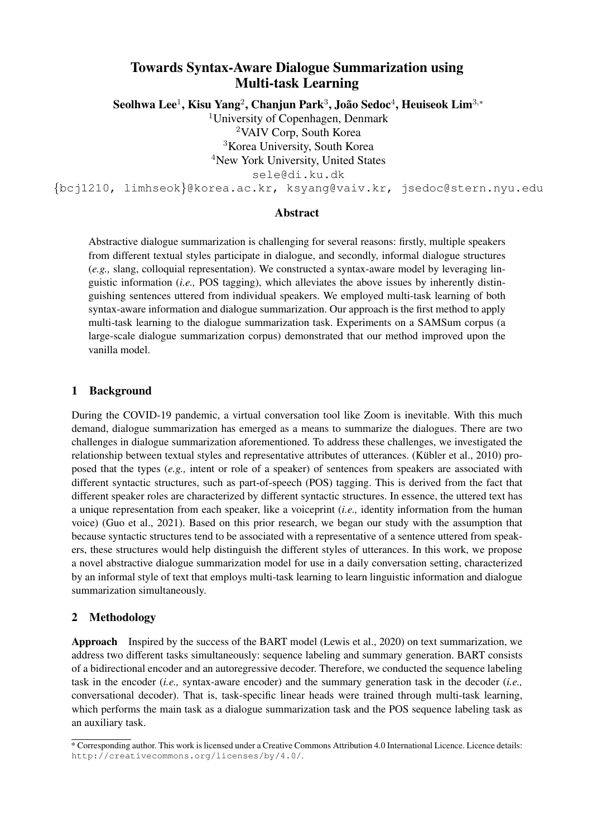# Towards Syntax-Aware Dialogue Summarization using Multi-task Learning

 ${\bf Seolhwa Lee^1, Kisu Yang^2, Chanjun Park^3, João Sedoc^4, Heuiseok Lim^{3,*}}$ 

University of Copenhagen, Denmark VAIV Corp, South Korea Korea University, South Korea <sup>4</sup>New York University, United States

sele@di.ku.dk

{bcj1210, limhseok}@korea.ac.kr, ksyang@vaiv.kr, jsedoc@stern.nyu.edu

#### Abstract

Abstractive dialogue summarization is challenging for several reasons: firstly, multiple speakers from different textual styles participate in dialogue, and secondly, informal dialogue structures (*e.g.,* slang, colloquial representation). We constructed a syntax-aware model by leveraging linguistic information (*i.e.,* POS tagging), which alleviates the above issues by inherently distinguishing sentences uttered from individual speakers. We employed multi-task learning of both syntax-aware information and dialogue summarization. Our approach is the first method to apply multi-task learning to the dialogue summarization task. Experiments on a SAMSum corpus (a large-scale dialogue summarization corpus) demonstrated that our method improved upon the vanilla model.

#### 1 Background

During the COVID-19 pandemic, a virtual conversation tool like Zoom is inevitable. With this much demand, dialogue summarization has emerged as a means to summarize the dialogues. There are two challenges in dialogue summarization aforementioned. To address these challenges, we investigated the relationship between textual styles and representative attributes of utterances. (Kübler et al., 2010) proposed that the types (*e.g.,* intent or role of a speaker) of sentences from speakers are associated with different syntactic structures, such as part-of-speech (POS) tagging. This is derived from the fact that different speaker roles are characterized by different syntactic structures. In essence, the uttered text has a unique representation from each speaker, like a voiceprint (*i.e.,* identity information from the human voice) (Guo et al., 2021). Based on this prior research, we began our study with the assumption that because syntactic structures tend to be associated with a representative of a sentence uttered from speakers, these structures would help distinguish the different styles of utterances. In this work, we propose a novel abstractive dialogue summarization model for use in a daily conversation setting, characterized by an informal style of text that employs multi-task learning to learn linguistic information and dialogue summarization simultaneously.

#### 2 Methodology

Approach Inspired by the success of the BART model (Lewis et al., 2020) on text summarization, we address two different tasks simultaneously: sequence labeling and summary generation. BART consists of a bidirectional encoder and an autoregressive decoder. Therefore, we conducted the sequence labeling task in the encoder (*i.e.,* syntax-aware encoder) and the summary generation task in the decoder (*i.e.,* conversational decoder). That is, task-specific linear heads were trained through multi-task learning, which performs the main task as a dialogue summarization task and the POS sequence labeling task as an auxiliary task.

<sup>\*</sup> Corresponding author. This work is licensed under a Creative Commons Attribution 4.0 International Licence. Licence details: http://creativecommons.org/licenses/by/4.0/.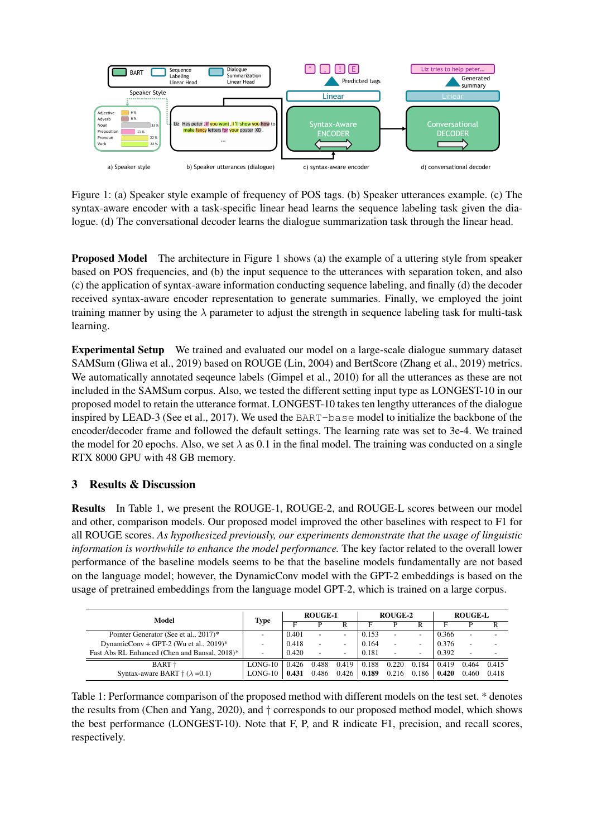

Figure 1: (a) Speaker style example of frequency of POS tags. (b) Speaker utterances example. (c) The syntax-aware encoder with a task-specific linear head learns the sequence labeling task given the dialogue. (d) The conversational decoder learns the dialogue summarization task through the linear head.

Proposed Model The architecture in Figure 1 shows (a) the example of a uttering style from speaker based on POS frequencies, and (b) the input sequence to the utterances with separation token, and also (c) the application of syntax-aware information conducting sequence labeling, and finally (d) the decoder received syntax-aware encoder representation to generate summaries. Finally, we employed the joint training manner by using the  $\lambda$  parameter to adjust the strength in sequence labeling task for multi-task learning.

Experimental Setup We trained and evaluated our model on a large-scale dialogue summary dataset SAMSum (Gliwa et al., 2019) based on ROUGE (Lin, 2004) and BertScore (Zhang et al., 2019) metrics. We automatically annotated seqeunce labels (Gimpel et al., 2010) for all the utterances as these are not included in the SAMSum corpus. Also, we tested the different setting input type as LONGEST-10 in our proposed model to retain the utterance format. LONGEST-10 takes ten lengthy utterances of the dialogue inspired by LEAD-3 (See et al., 2017). We used the BART-base model to initialize the backbone of the encoder/decoder frame and followed the default settings. The learning rate was set to 3e-4. We trained the model for 20 epochs. Also, we set  $\lambda$  as 0.1 in the final model. The training was conducted on a single RTX 8000 GPU with 48 GB memory.

## 3 Results & Discussion

Results In Table 1, we present the ROUGE-1, ROUGE-2, and ROUGE-L scores between our model and other, comparison models. Our proposed model improved the other baselines with respect to F1 for all ROUGE scores. *As hypothesized previously, our experiments demonstrate that the usage of linguistic information is worthwhile to enhance the model performance.* The key factor related to the overall lower performance of the baseline models seems to be that the baseline models fundamentally are not based on the language model; however, the DynamicConv model with the GPT-2 embeddings is based on the usage of pretrained embeddings from the language model GPT-2, which is trained on a large corpus.

| Model                                          | Type                     | <b>ROUGE-1</b> |                          |                          | <b>ROUGE-2</b> |                          |       | <b>ROUGE-L</b> |                          |       |
|------------------------------------------------|--------------------------|----------------|--------------------------|--------------------------|----------------|--------------------------|-------|----------------|--------------------------|-------|
|                                                |                          | Е              |                          | R                        |                |                          | R     |                |                          |       |
| Pointer Generator (See et al., 2017)*          | -                        | 0.401          | $\overline{\phantom{a}}$ | $\overline{\phantom{a}}$ | 0.153          | $\overline{\phantom{a}}$ | -     | 0.366          | ۰                        |       |
| DynamicConv + GPT-2 (Wu et al., 2019)*         | $\overline{\phantom{a}}$ | 0.418          | $\overline{\phantom{a}}$ | -                        | 0.164          | $\overline{\phantom{a}}$ | -     | 0.376          | $\overline{\phantom{a}}$ |       |
| Fast Abs RL Enhanced (Chen and Bansal, 2018)*  | -                        | 0.420          | $\overline{\phantom{a}}$ | $\overline{\phantom{0}}$ | 0.181          | $\overline{\phantom{a}}$ | -     | 0.392          |                          |       |
| BART +                                         | LONG-10                  | 0.426          | 0.488                    | 0.419                    | 0.188          | 0.220                    | 0.184 | 0.419          | 0.464                    | 0.415 |
| Syntax-aware BART $\uparrow$ ( $\lambda$ =0.1) | LONG-10                  | 0.431          | 0.486                    | 0.426                    | 0.189          | 0.216                    | 0.186 | 0.420          | 0.460                    | 0.418 |

Table 1: Performance comparison of the proposed method with different models on the test set. \* denotes the results from (Chen and Yang, 2020), and † corresponds to our proposed method model, which shows the best performance (LONGEST-10). Note that F, P, and R indicate F1, precision, and recall scores, respectively.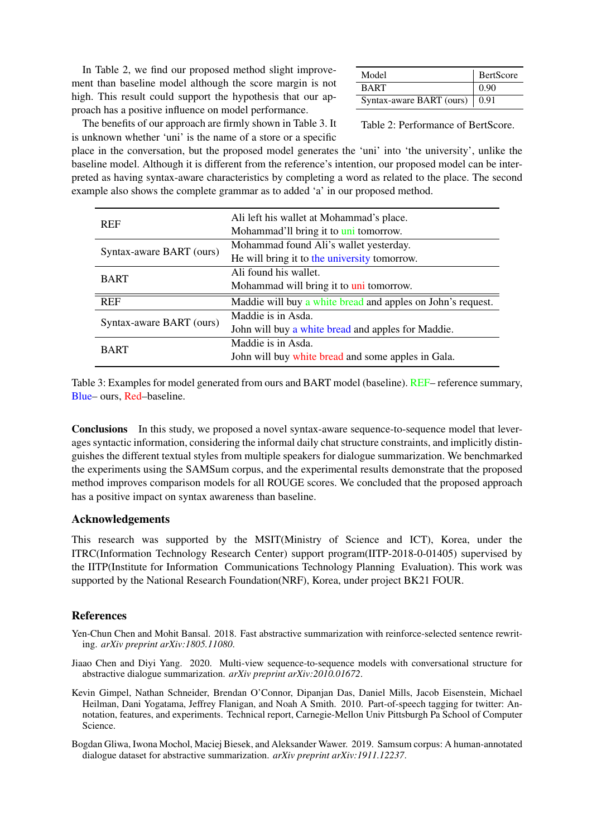In Table 2, we find our proposed method slight improvement than baseline model although the score margin is not high. This result could support the hypothesis that our approach has a positive influence on model performance.

| Model                           | BertScore |
|---------------------------------|-----------|
| <b>BART</b>                     | 0.90      |
| Syntax-aware BART (ours)   0.91 |           |

The benefits of our approach are firmly shown in Table 3. It is unknown whether 'uni' is the name of a store or a specific

Table 2: Performance of BertScore.

place in the conversation, but the proposed model generates the 'uni' into 'the university', unlike the baseline model. Although it is different from the reference's intention, our proposed model can be interpreted as having syntax-aware characteristics by completing a word as related to the place. The second example also shows the complete grammar as to added 'a' in our proposed method.

| <b>REF</b>               | Ali left his wallet at Mohammad's place.                    |
|--------------------------|-------------------------------------------------------------|
|                          | Mohammad'll bring it to uni tomorrow.                       |
| Syntax-aware BART (ours) | Mohammad found Ali's wallet yesterday.                      |
|                          | He will bring it to the university tomorrow.                |
| <b>BART</b>              | Ali found his wallet.                                       |
|                          | Mohammad will bring it to uni tomorrow.                     |
| <b>REF</b>               | Maddie will buy a white bread and apples on John's request. |
| Syntax-aware BART (ours) | Maddie is in Asda.                                          |
|                          | John will buy a white bread and apples for Maddie.          |
|                          | Maddie is in Asda.                                          |
| <b>BART</b>              | John will buy white bread and some apples in Gala.          |

Table 3: Examples for model generated from ours and BART model (baseline). REF– reference summary, Blue– ours, Red–baseline.

Conclusions In this study, we proposed a novel syntax-aware sequence-to-sequence model that leverages syntactic information, considering the informal daily chat structure constraints, and implicitly distinguishes the different textual styles from multiple speakers for dialogue summarization. We benchmarked the experiments using the SAMSum corpus, and the experimental results demonstrate that the proposed method improves comparison models for all ROUGE scores. We concluded that the proposed approach has a positive impact on syntax awareness than baseline.

#### Acknowledgements

This research was supported by the MSIT(Ministry of Science and ICT), Korea, under the ITRC(Information Technology Research Center) support program(IITP-2018-0-01405) supervised by the IITP(Institute for Information Communications Technology Planning Evaluation). This work was supported by the National Research Foundation(NRF), Korea, under project BK21 FOUR.

### References

- Yen-Chun Chen and Mohit Bansal. 2018. Fast abstractive summarization with reinforce-selected sentence rewriting. *arXiv preprint arXiv:1805.11080*.
- Jiaao Chen and Diyi Yang. 2020. Multi-view sequence-to-sequence models with conversational structure for abstractive dialogue summarization. *arXiv preprint arXiv:2010.01672*.
- Kevin Gimpel, Nathan Schneider, Brendan O'Connor, Dipanjan Das, Daniel Mills, Jacob Eisenstein, Michael Heilman, Dani Yogatama, Jeffrey Flanigan, and Noah A Smith. 2010. Part-of-speech tagging for twitter: Annotation, features, and experiments. Technical report, Carnegie-Mellon Univ Pittsburgh Pa School of Computer Science.
- Bogdan Gliwa, Iwona Mochol, Maciej Biesek, and Aleksander Wawer. 2019. Samsum corpus: A human-annotated dialogue dataset for abstractive summarization. *arXiv preprint arXiv:1911.12237*.